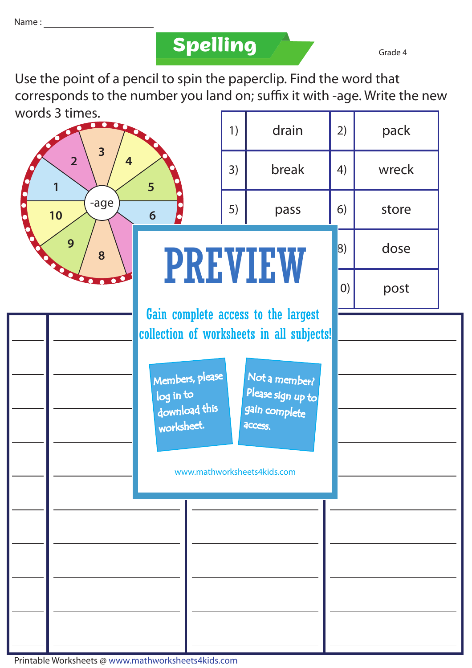### **Spelling Grade 4**

Use the point of a pencil to spin the paperclip. Find the word that corresponds to the number you land on; suffix it with -age. Write the new words 3 times.

| words 3 times.<br>$\overline{\mathbf{3}}$<br>$\overline{2}$<br>$\overline{4}$<br>5<br>1<br>-age<br>10<br>$6\phantom{1}6$<br>9<br>8 |  |                                                             | 1) | drain                                                                            | 2)  | pack  |  |
|------------------------------------------------------------------------------------------------------------------------------------|--|-------------------------------------------------------------|----|----------------------------------------------------------------------------------|-----|-------|--|
|                                                                                                                                    |  |                                                             | 3) | break                                                                            | 4)  | wreck |  |
|                                                                                                                                    |  |                                                             | 5) | pass                                                                             | 6)  | store |  |
|                                                                                                                                    |  |                                                             |    | <b>PREVIEW</b>                                                                   | 8)  | dose  |  |
|                                                                                                                                    |  |                                                             |    |                                                                                  | (0) | post  |  |
|                                                                                                                                    |  |                                                             |    | Gain complete access to the largest<br>collection of worksheets in all subjects! |     |       |  |
|                                                                                                                                    |  | Members, please<br>log in to<br>download this<br>worksheet. |    | Not a member?<br>Please sign up to<br>gain complete<br>access.                   |     |       |  |
|                                                                                                                                    |  |                                                             |    | www.mathworksheets4kids.com                                                      |     |       |  |
|                                                                                                                                    |  |                                                             |    |                                                                                  |     |       |  |
|                                                                                                                                    |  |                                                             |    |                                                                                  |     |       |  |
|                                                                                                                                    |  |                                                             |    |                                                                                  |     |       |  |
|                                                                                                                                    |  |                                                             |    |                                                                                  |     |       |  |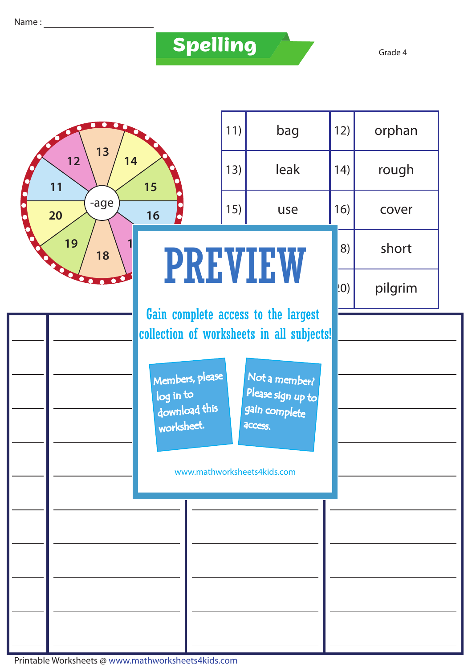# **Spelling**

|          |                                                                                  |                                                             | 11) | bag                                                            | 12)  | orphan  |  |
|----------|----------------------------------------------------------------------------------|-------------------------------------------------------------|-----|----------------------------------------------------------------|------|---------|--|
|          | 13<br>12<br>14<br>11<br>15<br>-age<br>20<br>16<br>$\bullet$                      |                                                             |     | leak                                                           | (14) | rough   |  |
|          |                                                                                  |                                                             |     | 15)<br>use                                                     | 16)  | cover   |  |
| 19<br>18 |                                                                                  |                                                             |     | <b>PREVIEW</b>                                                 |      | short   |  |
|          |                                                                                  |                                                             |     |                                                                |      | pilgrim |  |
|          | Gain complete access to the largest<br>collection of worksheets in all subjects! |                                                             |     |                                                                |      |         |  |
|          |                                                                                  | Members, please<br>log in to<br>download this<br>worksheet. |     | Not a member?<br>Please sign up to<br>gain complete<br>access. |      |         |  |
|          | www.mathworksheets4kids.com                                                      |                                                             |     |                                                                |      |         |  |
|          |                                                                                  |                                                             |     |                                                                |      |         |  |
|          |                                                                                  |                                                             |     |                                                                |      |         |  |
|          |                                                                                  |                                                             |     |                                                                |      |         |  |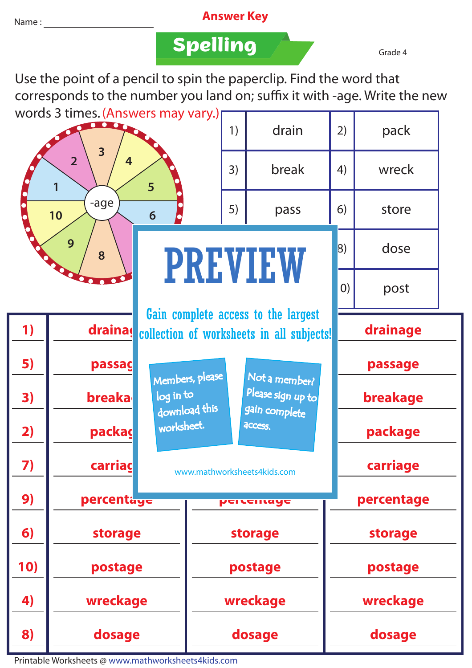#### Name : **Answer Key**

### **Spelling Grade 4**

Use the point of a pencil to spin the paperclip. Find the word that corresponds to the number you land on; suffix it with -age. Write the new words 3 times. (Answers may vary.)

| words 3 times. (Answers may vary.)                                     |                        |                                                                                  |                 | 1)                                 | drain          | 2)         | pack     |  |
|------------------------------------------------------------------------|------------------------|----------------------------------------------------------------------------------|-----------------|------------------------------------|----------------|------------|----------|--|
| $\overline{\mathbf{3}}$<br>$\overline{2}$<br>4<br>$5\overline{)}$<br>1 |                        |                                                                                  |                 | 3)                                 | break          | 4)         | wreck    |  |
|                                                                        | -age<br>10<br>6        |                                                                                  |                 | 5)                                 | pass           | 6)         | store    |  |
| 9<br>8                                                                 |                        |                                                                                  |                 | <b>PREVIEW</b>                     |                |            | dose     |  |
|                                                                        |                        |                                                                                  |                 |                                    |                | (0)        | post     |  |
| 1)                                                                     | drainas                | Gain complete access to the largest<br>collection of worksheets in all subjects! |                 |                                    |                |            | drainage |  |
| 5)                                                                     | passag                 |                                                                                  | Members, please | Not a member?                      |                | passage    |          |  |
| 3)                                                                     | <b>breaka</b>          | log in to                                                                        | download this   | Please sign up to<br>gain complete | breakage       |            |          |  |
| 2)                                                                     | packas                 | worksheet.                                                                       |                 | access.                            |                | package    |          |  |
| 7)                                                                     | carriac                | www.mathworksheets4kids.com                                                      |                 |                                    |                | carriage   |          |  |
| 9)                                                                     | percentag <del>e</del> |                                                                                  |                 | <b>Percentage</b>                  |                | percentage |          |  |
| 6)                                                                     | storage                |                                                                                  | storage         |                                    | <b>storage</b> |            |          |  |
| 10)                                                                    | postage                |                                                                                  | postage         |                                    | postage        |            |          |  |
| 4)                                                                     | wreckage               |                                                                                  | wreckage        |                                    | wreckage       |            |          |  |
| 8)                                                                     | dosage                 |                                                                                  | dosage          |                                    | dosage         |            |          |  |